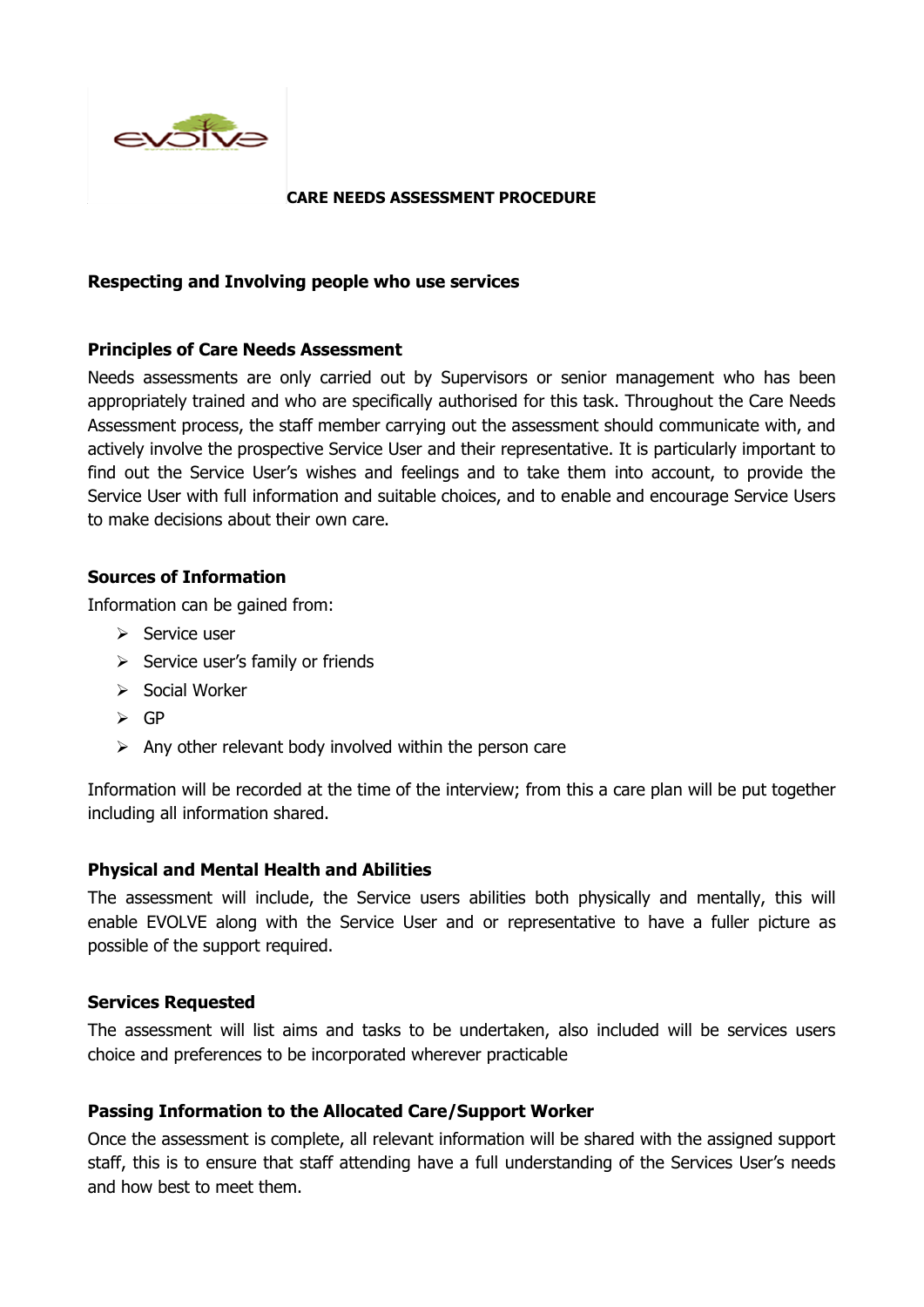

#### **CARE NEEDS ASSESSMENT PROCEDURE**

### **Respecting and Involving people who use services**

## **Principles of Care Needs Assessment**

Needs assessments are only carried out by Supervisors or senior management who has been appropriately trained and who are specifically authorised for this task. Throughout the Care Needs Assessment process, the staff member carrying out the assessment should communicate with, and actively involve the prospective Service User and their representative. It is particularly important to find out the Service User's wishes and feelings and to take them into account, to provide the Service User with full information and suitable choices, and to enable and encourage Service Users to make decisions about their own care.

## **Sources of Information**

Information can be gained from:

- $\triangleright$  Service user
- ➢ Service user's family or friends
- ➢ Social Worker
- ➢ GP
- $\triangleright$  Any other relevant body involved within the person care

Information will be recorded at the time of the interview; from this a care plan will be put together including all information shared.

#### **Physical and Mental Health and Abilities**

The assessment will include, the Service users abilities both physically and mentally, this will enable EVOLVE along with the Service User and or representative to have a fuller picture as possible of the support required.

#### **Services Requested**

The assessment will list aims and tasks to be undertaken, also included will be services users choice and preferences to be incorporated wherever practicable

#### **Passing Information to the Allocated Care/Support Worker**

Once the assessment is complete, all relevant information will be shared with the assigned support staff, this is to ensure that staff attending have a full understanding of the Services User's needs and how best to meet them.